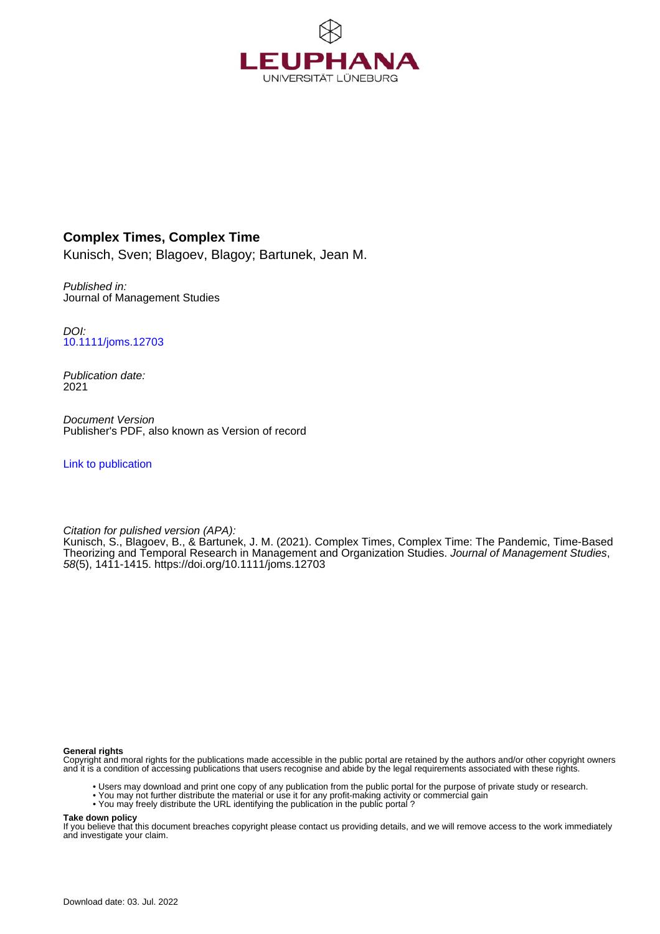

# **Complex Times, Complex Time**

Kunisch, Sven; Blagoev, Blagoy; Bartunek, Jean M.

Published in: Journal of Management Studies

DOI: [10.1111/joms.12703](https://doi.org/10.1111/joms.12703)

Publication date: 2021

Document Version Publisher's PDF, also known as Version of record

[Link to publication](http://fox.leuphana.de/portal/en/publications/complex-times-complex-time(312f613a-8981-403b-8e0f-b1b5ade55e1e).html)

Citation for pulished version (APA):

Kunisch, S.[, Blagoev, B.](http://fox.leuphana.de/portal/de/persons/blagoy-blagoev(34d75ffa-62a5-4819-a26d-8e37a55aa447).html), & Bartunek, J. M. (2021). [Complex Times, Complex Time: The Pandemic, Time-Based](http://fox.leuphana.de/portal/de/publications/complex-times-complex-time(312f613a-8981-403b-8e0f-b1b5ade55e1e).html) [Theorizing and Temporal Research in Management and Organization Studies](http://fox.leuphana.de/portal/de/publications/complex-times-complex-time(312f613a-8981-403b-8e0f-b1b5ade55e1e).html). [Journal of Management Studies](http://fox.leuphana.de/portal/de/journals/journal-of-management-studies(4f2177fe-fbc8-4799-ac6e-fcad5b72759c)/publications.html), 58(5), 1411-1415.<https://doi.org/10.1111/joms.12703>

#### **General rights**

Copyright and moral rights for the publications made accessible in the public portal are retained by the authors and/or other copyright owners and it is a condition of accessing publications that users recognise and abide by the legal requirements associated with these rights.

- Users may download and print one copy of any publication from the public portal for the purpose of private study or research.
- You may not further distribute the material or use it for any profit-making activity or commercial gain
- You may freely distribute the URL identifying the publication in the public portal ?

#### **Take down policy**

If you believe that this document breaches copyright please contact us providing details, and we will remove access to the work immediately and investigate your claim.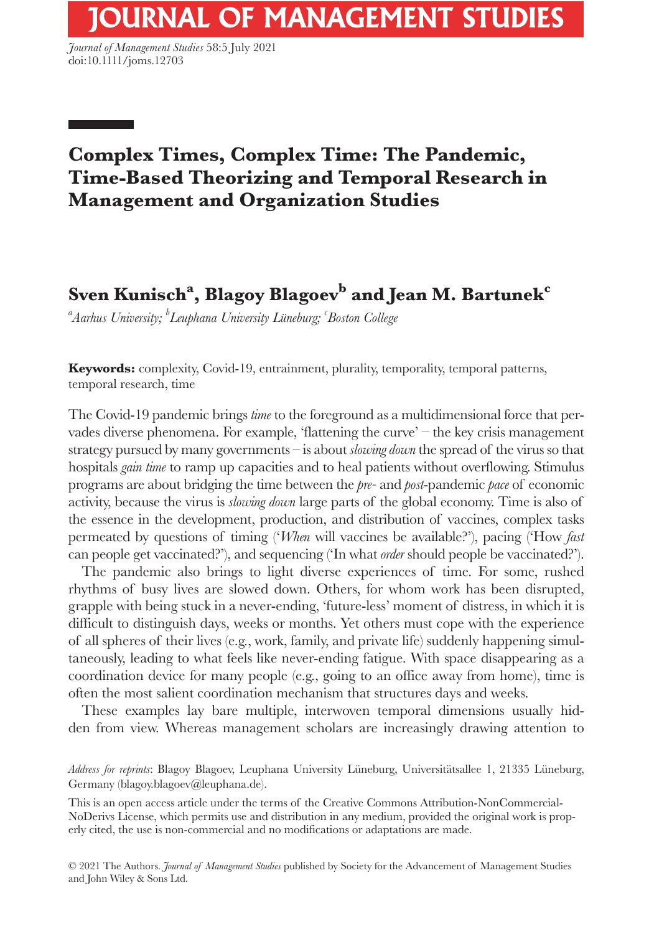*Journal of Management Studies* 58:5 July 2021 doi:10.1111/joms.12703

# **Complex Times, Complex Time: The Pandemic, Time-Based Theorizing and Temporal Research in Management and Organization Studies**

# **Sven Kunisch<sup>a</sup> , Blagoy Blagoev<sup>b</sup> and Jean M. Bartunekc**

*a Aarhus University; b Leuphana University Lüneburg; c Boston College*

**Keywords:** complexity, Covid-19, entrainment, plurality, temporality, temporal patterns, temporal research, time

The Covid-19 pandemic brings *time* to the foreground as a multidimensional force that pervades diverse phenomena. For example, 'flattening the curve' – the key crisis management strategy pursued by many governments – is about *slowing down* the spread of the virus so that hospitals *gain time* to ramp up capacities and to heal patients without overflowing. Stimulus programs are about bridging the time between the *pre-* and *post*-pandemic *pace* of economic activity, because the virus is *slowing down* large parts of the global economy. Time is also of the essence in the development, production, and distribution of vaccines, complex tasks permeated by questions of timing ('*When* will vaccines be available?'), pacing ('How *fast* can people get vaccinated?'), and sequencing ('In what *order* should people be vaccinated?').

The pandemic also brings to light diverse experiences of time. For some, rushed rhythms of busy lives are slowed down. Others, for whom work has been disrupted, grapple with being stuck in a never-ending, 'future-less' moment of distress, in which it is difficult to distinguish days, weeks or months. Yet others must cope with the experience of all spheres of their lives (e.g., work, family, and private life) suddenly happening simultaneously, leading to what feels like never-ending fatigue. With space disappearing as a coordination device for many people (e.g., going to an office away from home), time is often the most salient coordination mechanism that structures days and weeks.

These examples lay bare multiple, interwoven temporal dimensions usually hidden from view. Whereas management scholars are increasingly drawing attention to

*Address for reprints*: Blagoy Blagoev, Leuphana University Lüneburg, Universitätsallee 1, 21335 Lüneburg, Germany [\(blagoy.blagoev@leuphana.de](mailto:blagoy.blagoev@leuphana.de)).

This is an open access article under the terms of the [Creative Commons Attribution-NonCommercial-](http://creativecommons.org/licenses/by-nc-nd/4.0/)[NoDerivs](http://creativecommons.org/licenses/by-nc-nd/4.0/) License, which permits use and distribution in any medium, provided the original work is properly cited, the use is non-commercial and no modifications or adaptations are made.

© 2021 The Authors. *Journal of Management Studies* published by Society for the Advancement of Management Studies and John Wiley & Sons Ltd.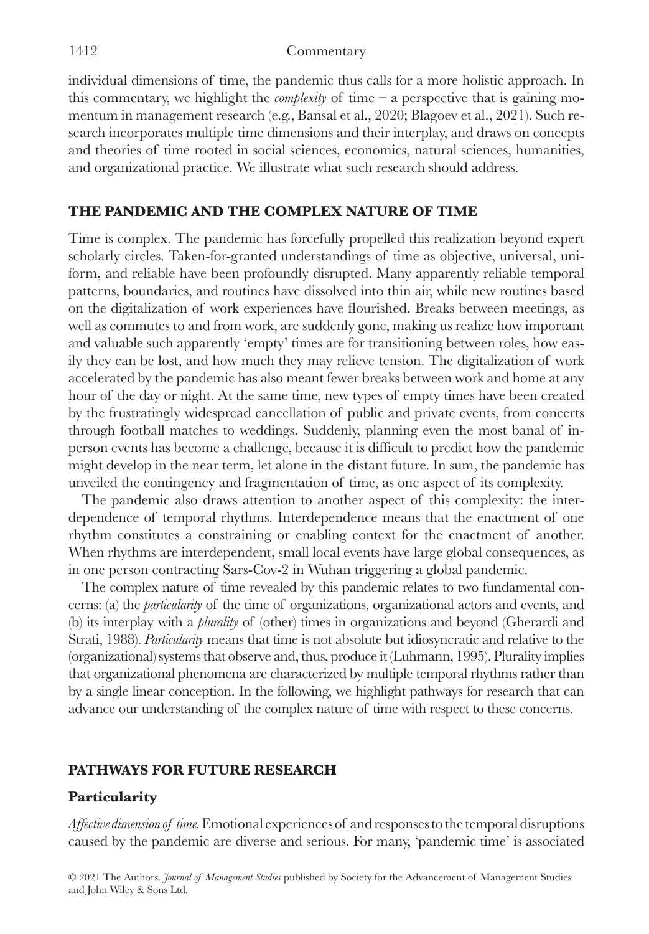individual dimensions of time, the pandemic thus calls for a more holistic approach. In this commentary, we highlight the *complexity* of time – a perspective that is gaining momentum in management research (e.g., Bansal et al., 2020; Blagoev et al., 2021). Such research incorporates multiple time dimensions and their interplay, and draws on concepts and theories of time rooted in social sciences, economics, natural sciences, humanities, and organizational practice. We illustrate what such research should address.

# **THE PANDEMIC AND THE COMPLEX NATURE OF TIME**

Time is complex. The pandemic has forcefully propelled this realization beyond expert scholarly circles. Taken-for-granted understandings of time as objective, universal, uniform, and reliable have been profoundly disrupted. Many apparently reliable temporal patterns, boundaries, and routines have dissolved into thin air, while new routines based on the digitalization of work experiences have flourished. Breaks between meetings, as well as commutes to and from work, are suddenly gone, making us realize how important and valuable such apparently 'empty' times are for transitioning between roles, how easily they can be lost, and how much they may relieve tension. The digitalization of work accelerated by the pandemic has also meant fewer breaks between work and home at any hour of the day or night. At the same time, new types of empty times have been created by the frustratingly widespread cancellation of public and private events, from concerts through football matches to weddings. Suddenly, planning even the most banal of inperson events has become a challenge, because it is difficult to predict how the pandemic might develop in the near term, let alone in the distant future. In sum, the pandemic has unveiled the contingency and fragmentation of time, as one aspect of its complexity.

The pandemic also draws attention to another aspect of this complexity: the interdependence of temporal rhythms. Interdependence means that the enactment of one rhythm constitutes a constraining or enabling context for the enactment of another. When rhythms are interdependent, small local events have large global consequences, as in one person contracting Sars-Cov-2 in Wuhan triggering a global pandemic.

The complex nature of time revealed by this pandemic relates to two fundamental concerns: (a) the *particularity* of the time of organizations, organizational actors and events, and (b) its interplay with a *plurality* of (other) times in organizations and beyond (Gherardi and Strati, 1988). *Particularity* means that time is not absolute but idiosyncratic and relative to the (organizational) systems that observe and, thus, produce it (Luhmann, 1995). Plurality implies that organizational phenomena are characterized by multiple temporal rhythms rather than by a single linear conception. In the following, we highlight pathways for research that can advance our understanding of the complex nature of time with respect to these concerns.

# **PATHWAYS FOR FUTURE RESEARCH**

# **Particularity**

*Affective dimension of time.* Emotional experiences of and responses to the temporal disruptions caused by the pandemic are diverse and serious. For many, 'pandemic time' is associated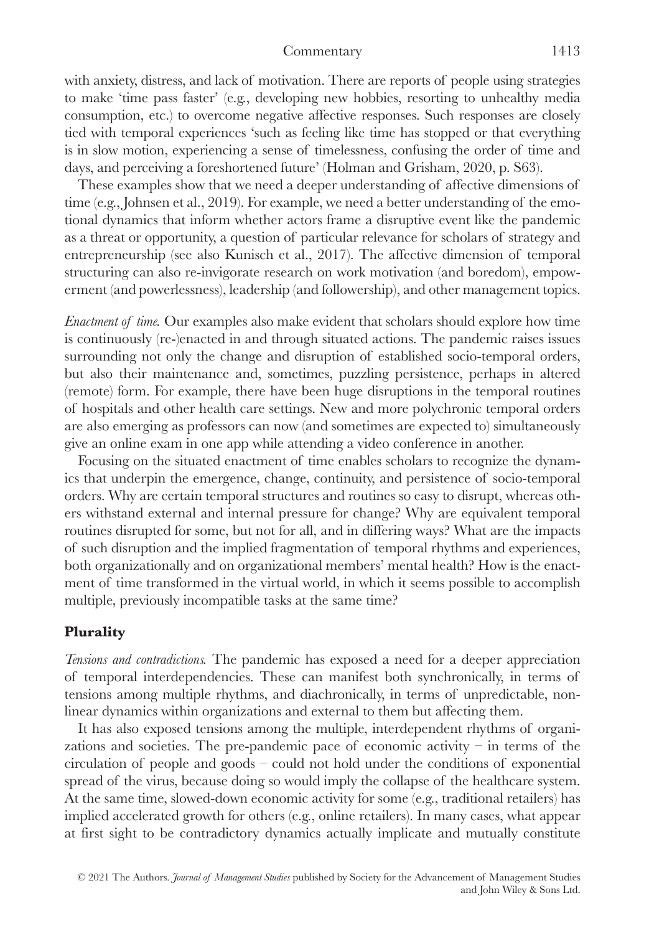#### Commentary 1413

with anxiety, distress, and lack of motivation. There are reports of people using strategies to make 'time pass faster' (e.g., developing new hobbies, resorting to unhealthy media consumption, etc.) to overcome negative affective responses. Such responses are closely tied with temporal experiences 'such as feeling like time has stopped or that everything is in slow motion, experiencing a sense of timelessness, confusing the order of time and days, and perceiving a foreshortened future' (Holman and Grisham, 2020, p. S63).

These examples show that we need a deeper understanding of affective dimensions of time (e.g., Johnsen et al., 2019). For example, we need a better understanding of the emotional dynamics that inform whether actors frame a disruptive event like the pandemic as a threat or opportunity, a question of particular relevance for scholars of strategy and entrepreneurship (see also Kunisch et al., 2017). The affective dimension of temporal structuring can also re-invigorate research on work motivation (and boredom), empowerment (and powerlessness), leadership (and followership), and other management topics.

*Enactment of time.* Our examples also make evident that scholars should explore how time is continuously (re-)enacted in and through situated actions. The pandemic raises issues surrounding not only the change and disruption of established socio-temporal orders, but also their maintenance and, sometimes, puzzling persistence, perhaps in altered (remote) form. For example, there have been huge disruptions in the temporal routines of hospitals and other health care settings. New and more polychronic temporal orders are also emerging as professors can now (and sometimes are expected to) simultaneously give an online exam in one app while attending a video conference in another.

Focusing on the situated enactment of time enables scholars to recognize the dynamics that underpin the emergence, change, continuity, and persistence of socio-temporal orders. Why are certain temporal structures and routines so easy to disrupt, whereas others withstand external and internal pressure for change? Why are equivalent temporal routines disrupted for some, but not for all, and in differing ways? What are the impacts of such disruption and the implied fragmentation of temporal rhythms and experiences, both organizationally and on organizational members' mental health? How is the enactment of time transformed in the virtual world, in which it seems possible to accomplish multiple, previously incompatible tasks at the same time?

## **Plurality**

*Tensions and contradictions.* The pandemic has exposed a need for a deeper appreciation of temporal interdependencies. These can manifest both synchronically, in terms of tensions among multiple rhythms, and diachronically, in terms of unpredictable, nonlinear dynamics within organizations and external to them but affecting them.

It has also exposed tensions among the multiple, interdependent rhythms of organizations and societies. The pre-pandemic pace of economic activity  $-$  in terms of the circulation of people and goods – could not hold under the conditions of exponential spread of the virus, because doing so would imply the collapse of the healthcare system. At the same time, slowed-down economic activity for some (e.g., traditional retailers) has implied accelerated growth for others (e.g., online retailers). In many cases, what appear at first sight to be contradictory dynamics actually implicate and mutually constitute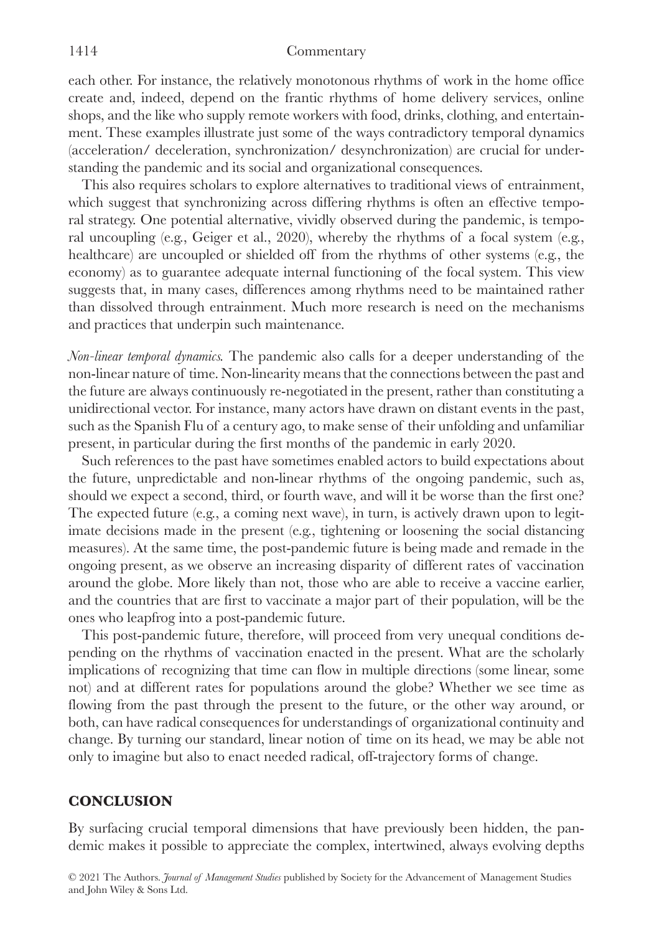#### 1414 Commentary

each other. For instance, the relatively monotonous rhythms of work in the home office create and, indeed, depend on the frantic rhythms of home delivery services, online shops, and the like who supply remote workers with food, drinks, clothing, and entertainment. These examples illustrate just some of the ways contradictory temporal dynamics (acceleration/ deceleration, synchronization/ desynchronization) are crucial for understanding the pandemic and its social and organizational consequences.

This also requires scholars to explore alternatives to traditional views of entrainment, which suggest that synchronizing across differing rhythms is often an effective temporal strategy. One potential alternative, vividly observed during the pandemic, is temporal uncoupling (e.g., Geiger et al., 2020), whereby the rhythms of a focal system (e.g., healthcare) are uncoupled or shielded off from the rhythms of other systems (e.g., the economy) as to guarantee adequate internal functioning of the focal system. This view suggests that, in many cases, differences among rhythms need to be maintained rather than dissolved through entrainment. Much more research is need on the mechanisms and practices that underpin such maintenance.

*Non-linear temporal dynamics.* The pandemic also calls for a deeper understanding of the non-linear nature of time. Non-linearity means that the connections between the past and the future are always continuously re-negotiated in the present, rather than constituting a unidirectional vector. For instance, many actors have drawn on distant events in the past, such as the Spanish Flu of a century ago, to make sense of their unfolding and unfamiliar present, in particular during the first months of the pandemic in early 2020.

Such references to the past have sometimes enabled actors to build expectations about the future, unpredictable and non-linear rhythms of the ongoing pandemic, such as, should we expect a second, third, or fourth wave, and will it be worse than the first one? The expected future (e.g., a coming next wave), in turn, is actively drawn upon to legitimate decisions made in the present (e.g., tightening or loosening the social distancing measures). At the same time, the post-pandemic future is being made and remade in the ongoing present, as we observe an increasing disparity of different rates of vaccination around the globe. More likely than not, those who are able to receive a vaccine earlier, and the countries that are first to vaccinate a major part of their population, will be the ones who leapfrog into a post-pandemic future.

This post-pandemic future, therefore, will proceed from very unequal conditions depending on the rhythms of vaccination enacted in the present. What are the scholarly implications of recognizing that time can flow in multiple directions (some linear, some not) and at different rates for populations around the globe? Whether we see time as flowing from the past through the present to the future, or the other way around, or both, can have radical consequences for understandings of organizational continuity and change. By turning our standard, linear notion of time on its head, we may be able not only to imagine but also to enact needed radical, off-trajectory forms of change.

### **CONCLUSION**

By surfacing crucial temporal dimensions that have previously been hidden, the pandemic makes it possible to appreciate the complex, intertwined, always evolving depths